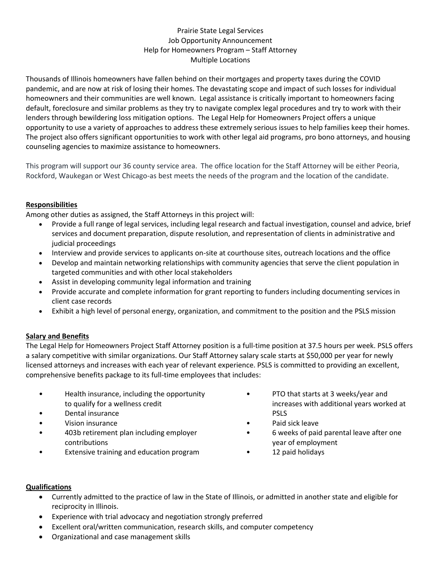# Prairie State Legal Services Job Opportunity Announcement Help for Homeowners Program – Staff Attorney Multiple Locations

Thousands of Illinois homeowners have fallen behind on their mortgages and property taxes during the COVID pandemic, and are now at risk of losing their homes. The devastating scope and impact of such losses for individual homeowners and their communities are well known. Legal assistance is critically important to homeowners facing default, foreclosure and similar problems as they try to navigate complex legal procedures and try to work with their lenders through bewildering loss mitigation options. The Legal Help for Homeowners Project offers a unique opportunity to use a variety of approaches to address these extremely serious issues to help families keep their homes. The project also offers significant opportunities to work with other legal aid programs, pro bono attorneys, and housing counseling agencies to maximize assistance to homeowners.

This program will support our 36 county service area. The office location for the Staff Attorney will be either Peoria, Rockford, Waukegan or West Chicago-as best meets the needs of the program and the location of the candidate.

# **Responsibilities**

Among other duties as assigned, the Staff Attorneys in this project will:

- Provide a full range of legal services, including legal research and factual investigation, counsel and advice, brief services and document preparation, dispute resolution, and representation of clients in administrative and judicial proceedings
- Interview and provide services to applicants on-site at courthouse sites, outreach locations and the office
- Develop and maintain networking relationships with community agencies that serve the client population in targeted communities and with other local stakeholders
- Assist in developing community legal information and training
- Provide accurate and complete information for grant reporting to funders including documenting services in client case records
- Exhibit a high level of personal energy, organization, and commitment to the position and the PSLS mission

# **Salary and Benefits**

The Legal Help for Homeowners Project Staff Attorney position is a full-time position at 37.5 hours per week. PSLS offers a salary competitive with similar organizations. Our Staff Attorney salary scale starts at \$50,000 per year for newly licensed attorneys and increases with each year of relevant experience. PSLS is committed to providing an excellent, comprehensive benefits package to its full-time employees that includes:

- Health insurance, including the opportunity to qualify for a wellness credit
- Dental insurance
- Vision insurance
- 403b retirement plan including employer contributions
- Extensive training and education program
- PTO that starts at 3 weeks/year and increases with additional years worked at PSLS
- Paid sick leave
- 6 weeks of paid parental leave after one year of employment
- 12 paid holidays

#### **Qualifications**

- Currently admitted to the practice of law in the State of Illinois, or admitted in another state and eligible for reciprocity in Illinois.
- Experience with trial advocacy and negotiation strongly preferred
- Excellent oral/written communication, research skills, and computer competency
- Organizational and case management skills